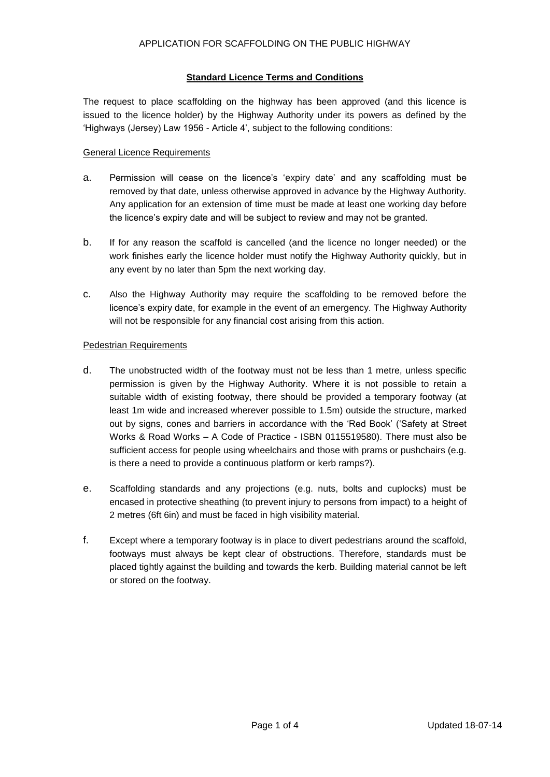# **Standard Licence Terms and Conditions**

The request to place scaffolding on the highway has been approved (and this licence is issued to the licence holder) by the Highway Authority under its powers as defined by the 'Highways (Jersey) Law 1956 - Article 4', subject to the following conditions:

# General Licence Requirements

- a. Permission will cease on the licence's 'expiry date' and any scaffolding must be removed by that date, unless otherwise approved in advance by the Highway Authority. Any application for an extension of time must be made at least one working day before the licence's expiry date and will be subject to review and may not be granted.
- b. If for any reason the scaffold is cancelled (and the licence no longer needed) or the work finishes early the licence holder must notify the Highway Authority quickly, but in any event by no later than 5pm the next working day.
- c. Also the Highway Authority may require the scaffolding to be removed before the licence's expiry date, for example in the event of an emergency. The Highway Authority will not be responsible for any financial cost arising from this action.

### Pedestrian Requirements

- d. The unobstructed width of the footway must not be less than 1 metre, unless specific permission is given by the Highway Authority. Where it is not possible to retain a suitable width of existing footway, there should be provided a temporary footway (at least 1m wide and increased wherever possible to 1.5m) outside the structure, marked out by signs, cones and barriers in accordance with the 'Red Book' ('Safety at Street Works & Road Works – A Code of Practice - ISBN 0115519580). There must also be sufficient access for people using wheelchairs and those with prams or pushchairs (e.g. is there a need to provide a continuous platform or kerb ramps?).
- e. Scaffolding standards and any projections (e.g. nuts, bolts and cuplocks) must be encased in protective sheathing (to prevent injury to persons from impact) to a height of 2 metres (6ft 6in) and must be faced in high visibility material.
- f. Except where a temporary footway is in place to divert pedestrians around the scaffold, footways must always be kept clear of obstructions. Therefore, standards must be placed tightly against the building and towards the kerb. Building material cannot be left or stored on the footway.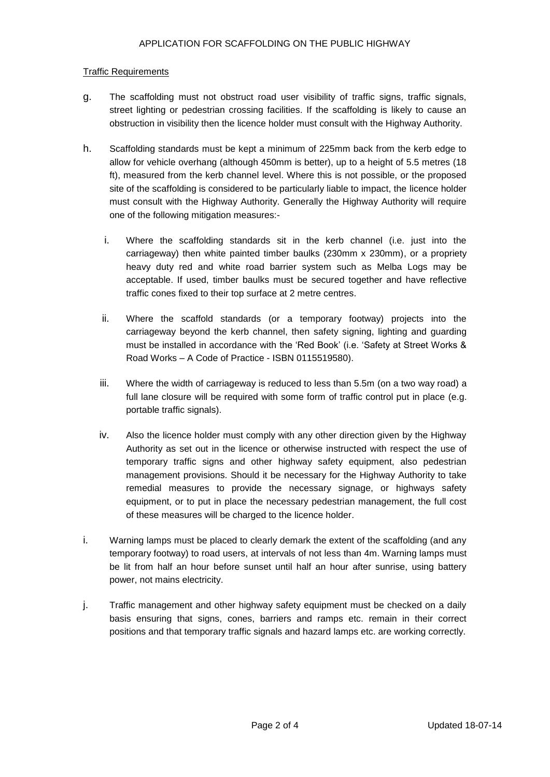# Traffic Requirements

- g. The scaffolding must not obstruct road user visibility of traffic signs, traffic signals, street lighting or pedestrian crossing facilities. If the scaffolding is likely to cause an obstruction in visibility then the licence holder must consult with the Highway Authority.
- h. Scaffolding standards must be kept a minimum of 225mm back from the kerb edge to allow for vehicle overhang (although 450mm is better), up to a height of 5.5 metres (18 ft), measured from the kerb channel level. Where this is not possible, or the proposed site of the scaffolding is considered to be particularly liable to impact, the licence holder must consult with the Highway Authority. Generally the Highway Authority will require one of the following mitigation measures:
	- i. Where the scaffolding standards sit in the kerb channel (i.e. just into the carriageway) then white painted timber baulks (230mm x 230mm), or a propriety heavy duty red and white road barrier system such as Melba Logs may be acceptable. If used, timber baulks must be secured together and have reflective traffic cones fixed to their top surface at 2 metre centres.
	- ii. Where the scaffold standards (or a temporary footway) projects into the carriageway beyond the kerb channel, then safety signing, lighting and guarding must be installed in accordance with the 'Red Book' (i.e. 'Safety at Street Works & Road Works – A Code of Practice - ISBN 0115519580).
	- iii. Where the width of carriageway is reduced to less than 5.5m (on a two way road) a full lane closure will be required with some form of traffic control put in place (e.g. portable traffic signals).
	- iv. Also the licence holder must comply with any other direction given by the Highway Authority as set out in the licence or otherwise instructed with respect the use of temporary traffic signs and other highway safety equipment, also pedestrian management provisions. Should it be necessary for the Highway Authority to take remedial measures to provide the necessary signage, or highways safety equipment, or to put in place the necessary pedestrian management, the full cost of these measures will be charged to the licence holder.
- i. Warning lamps must be placed to clearly demark the extent of the scaffolding (and any temporary footway) to road users, at intervals of not less than 4m. Warning lamps must be lit from half an hour before sunset until half an hour after sunrise, using battery power, not mains electricity.
- j. Traffic management and other highway safety equipment must be checked on a daily basis ensuring that signs, cones, barriers and ramps etc. remain in their correct positions and that temporary traffic signals and hazard lamps etc. are working correctly.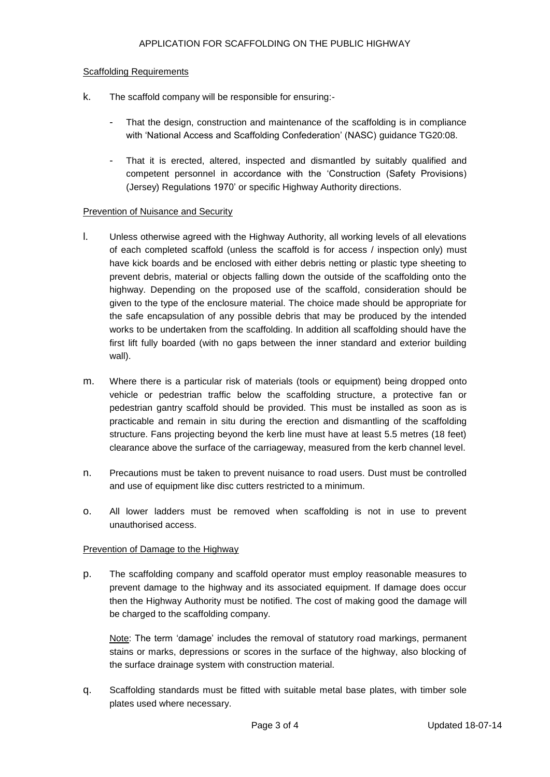### Scaffolding Requirements

- k. The scaffold company will be responsible for ensuring:-
	- That the design, construction and maintenance of the scaffolding is in compliance with 'National Access and Scaffolding Confederation' (NASC) guidance TG20:08.
	- That it is erected, altered, inspected and dismantled by suitably qualified and competent personnel in accordance with the 'Construction (Safety Provisions) (Jersey) Regulations 1970' or specific Highway Authority directions.

#### Prevention of Nuisance and Security

- l. Unless otherwise agreed with the Highway Authority, all working levels of all elevations of each completed scaffold (unless the scaffold is for access / inspection only) must have kick boards and be enclosed with either debris netting or plastic type sheeting to prevent debris, material or objects falling down the outside of the scaffolding onto the highway. Depending on the proposed use of the scaffold, consideration should be given to the type of the enclosure material. The choice made should be appropriate for the safe encapsulation of any possible debris that may be produced by the intended works to be undertaken from the scaffolding. In addition all scaffolding should have the first lift fully boarded (with no gaps between the inner standard and exterior building wall).
- m. Where there is a particular risk of materials (tools or equipment) being dropped onto vehicle or pedestrian traffic below the scaffolding structure, a protective fan or pedestrian gantry scaffold should be provided. This must be installed as soon as is practicable and remain in situ during the erection and dismantling of the scaffolding structure. Fans projecting beyond the kerb line must have at least 5.5 metres (18 feet) clearance above the surface of the carriageway, measured from the kerb channel level.
- n. Precautions must be taken to prevent nuisance to road users. Dust must be controlled and use of equipment like disc cutters restricted to a minimum.
- o. All lower ladders must be removed when scaffolding is not in use to prevent unauthorised access.

### Prevention of Damage to the Highway

p. The scaffolding company and scaffold operator must employ reasonable measures to prevent damage to the highway and its associated equipment. If damage does occur then the Highway Authority must be notified. The cost of making good the damage will be charged to the scaffolding company.

Note: The term 'damage' includes the removal of statutory road markings, permanent stains or marks, depressions or scores in the surface of the highway, also blocking of the surface drainage system with construction material.

q. Scaffolding standards must be fitted with suitable metal base plates, with timber sole plates used where necessary.